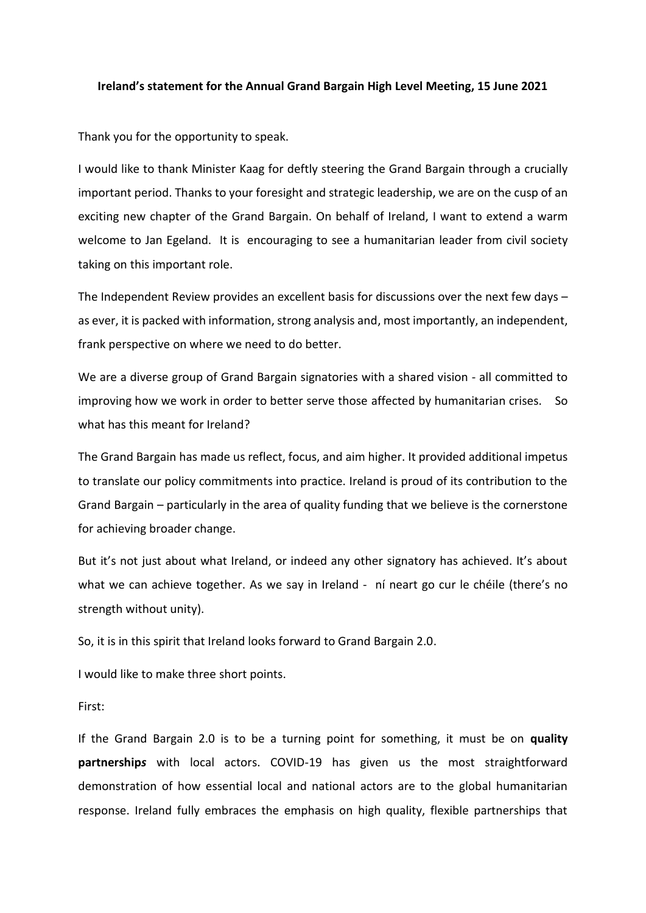## **Ireland's statement for the Annual Grand Bargain High Level Meeting, 15 June 2021**

Thank you for the opportunity to speak.

I would like to thank Minister Kaag for deftly steering the Grand Bargain through a crucially important period. Thanks to your foresight and strategic leadership, we are on the cusp of an exciting new chapter of the Grand Bargain. On behalf of Ireland, I want to extend a warm welcome to Jan Egeland. It is encouraging to see a humanitarian leader from civil society taking on this important role.

The Independent Review provides an excellent basis for discussions over the next few days – as ever, it is packed with information, strong analysis and, most importantly, an independent, frank perspective on where we need to do better.

We are a diverse group of Grand Bargain signatories with a shared vision - all committed to improving how we work in order to better serve those affected by humanitarian crises. So what has this meant for Ireland?

The Grand Bargain has made us reflect, focus, and aim higher. It provided additional impetus to translate our policy commitments into practice. Ireland is proud of its contribution to the Grand Bargain – particularly in the area of quality funding that we believe is the cornerstone for achieving broader change.

But it's not just about what Ireland, or indeed any other signatory has achieved. It's about what we can achieve together. As we say in Ireland - ní neart go cur le chéile (there's no strength without unity).

So, it is in this spirit that Ireland looks forward to Grand Bargain 2.0.

I would like to make three short points.

First:

If the Grand Bargain 2.0 is to be a turning point for something, it must be on **quality partnership***s* with local actors. COVID-19 has given us the most straightforward demonstration of how essential local and national actors are to the global humanitarian response. Ireland fully embraces the emphasis on high quality, flexible partnerships that